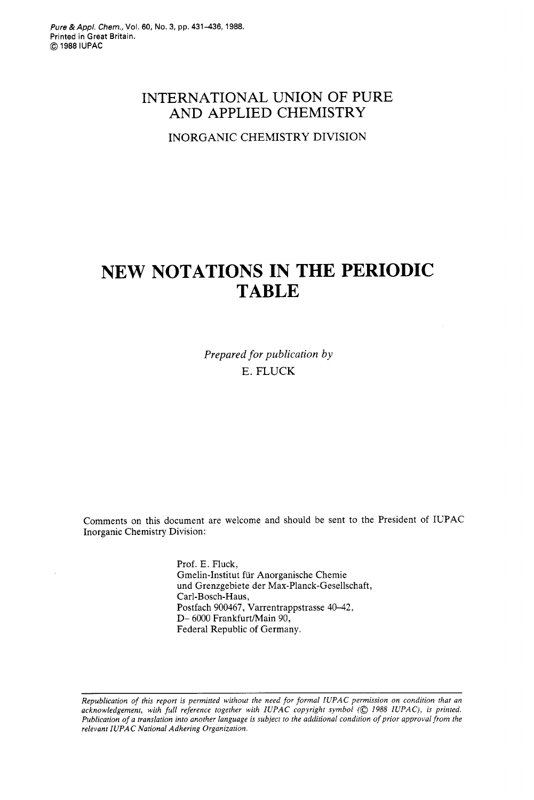# INTERNATIONAL UNION OF PURE AND APPLIED CHEMISTRY

INORGANIC CHEMISTRY DIVISION

# **NEW NOTATIONS IN THE PERIODIC TABLE**

*Prepared for publication by*  E. FLUCK

Comments on this document are welcome and should be sent to the President of IUPAC Inorganic Chemistry Division:

> Prof. E. Fluck, Gmelin-Institut fur Anorganische Chemie und Grenzgebiete der Max-Planck-Gesellschaft, Carl-Bosch-Haus, Postfach 900467, Varrentrappstrasse 40-42, D- 6000 Frankfurt/Main 90, Federal Republic of Germany.

*Republication of this report is permitted without the need for formal IUPAC permission on condition that an acknowledgement, with full reference together with IUPAC copyright symbol (0 1988 IUPAC), is printed. Publication of a translation into another language is subject to the additional condition of prior approval from the relevant IUPAC National Adhering Organization.*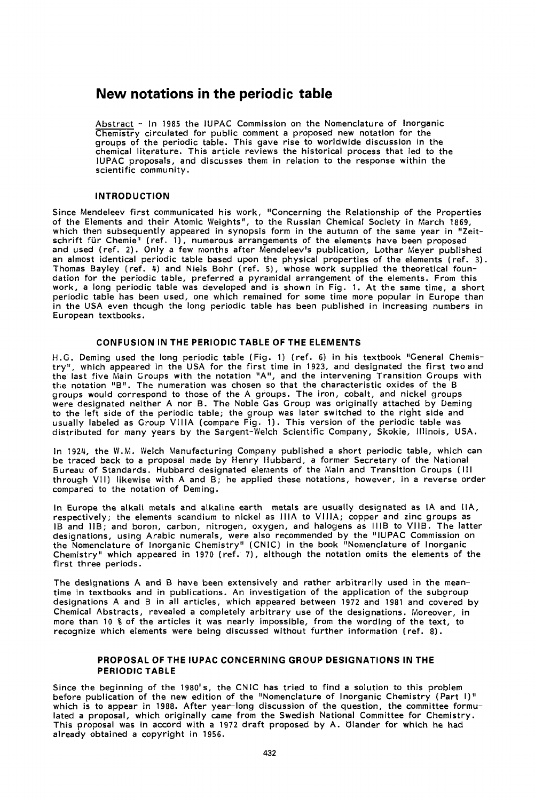# **New notations in the periodic table**

Abstract - In **1985** the IUPAC Commission on the Nomenclature of Inorganic Chemistry circulated for public comment a proposed new notation for the groups of the periodic table. This gave rise to worldwide discussion in the chemical literature. This article reviews the historical process that led to the IUPAC proposals, and discusses them in relation to the response within the scientific community.

### INTRODUCTION

Since Mendeleev first communicated his work, "Concerning the Relationship of the Properties of the Elements and their Atomic Weights", to the Russian Chemical Society in March **1869,**  which then subsequently appeared in synopsis form in the autumn of the same year in "Zeitschrift fur Chemie" (ref. **l),** numerous arrangements of the elements have been proposed and used (ref. **2).** Only a few months after Mendeleev's publication, Lothar Meyer published an almost identical periodic table based upon the physical properties of the elements (ref. **3).**  Thomas Bayley (ref. **4)** and Niels Bohr (ref. **5),** whose work supplied the theoretical foundation for the periodic table, preferred a pyramidal arrangement of the elements. From this work, a long periodic table was developed and is shown in Fig. 1. At the same tine, a short periodic table has been used, one which remained for some time more popular in Europe than in the USA even though the long periodic table has been published in increasing numbers in European textbooks.

## CONFUSION IN THE PERIODIC TABLE OF THE ELEMENTS

H.G. Deming used the long periodic table (Fig. 1) (ref. **6)** in his textbook "General Chemistry", which appeared in the USA for the first time in **1923,** and designated the first twoand the last five Main Groups with the notation "A", and the intervening Transition Groups with the notation "B". The numeration was chosen so that the characteristic oxides of the B groups would correspond to those of the A groups. The iron, cobalt, and nickel groups were designated neither A nor B. The Noble Gas Group was originally attached by Ueming to the left side of the periodic table; the group was later switched to the right side and usually labeled as Group VlllA (compare Fig. **1).** This version of the periodic table was distributed for many years by the Sargent-Welch Scientific Company, Skokie, Illinois, USA.

In **1924,** the W.M. Welch Manufacturing Company published a short periodic table, which can be traced back to a proposal made by Henry Iiubbard, a former Secretary of the National Bureau of Standards. Hubbard designated elements of the Main and Transition Groups (Ill through VII) likewise with A and B; he applied these notations, however, in a reverse order compared to the notation of Deming.

In Europe the alkali metals and alkaline earth metals are usually designated as IA and IIA, respectively; the elements scandium to nickel as IllA to VIIIA; copper and zinc groups as IB and IlB; and boron, carbon, nitrogen, oxygen, and halogens as lllB to VIIB. The latter designations, using Arabic numerals, were also recommended by the "IUPAC Commission on the Nomenclature of Inorganic Chemistry" (CN IC) in the book "Nomenclature of Inorganic Chemistry" which appeared in **1970** (ref. 7), although the notation omits the elements of the first three periods.

The designations A and B have been extensively and rather arbitrarily used in the meantime in textbooks and in publications. An investigation of the application of the subgroup designations A and B in all articles, which appeared between **1972** and **1981** and covered by Chemical Abstracts, revealed a completely arbitrary use of the designations. Moreover, in more than 10 % of the articles it was nearly impossible, from the wording of the text, to recognize which elements were being discussed without further information (ref. **8).** 

# PROPOSAL OF THE IUPAC CONCERNING GROUP DESIGNATIONS IN THE PERIODIC TABLE

Since the beginning of the **1980's,** the CNlC has tried to find a solution to this problem before publication of the new edition of the "Nomenclature of Inorganic Chemistry (Part I)" which is to appear in **1988.** After year-long discussion of the question, the committee formulated a proposal, which originally came from the Swedish National Committee for Chemistry. This proposal was in accord with a **1972** draft proposed by A. Olander for which he had already obtained a copyright in **1956.**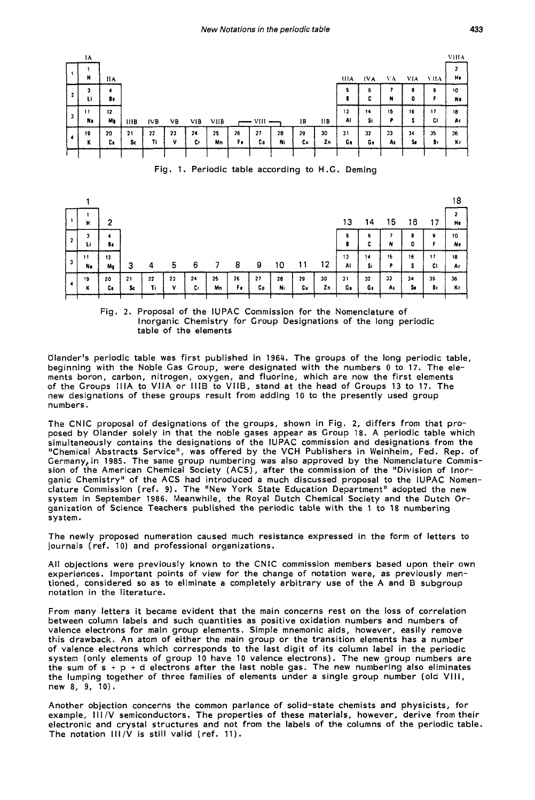

Fig. **1.** Periodic table according to H.G. Deming



Fig. 2. Proposal of the IUPAC Commission for the Nomenclature of Inorganic Chemistry for Group Designations of the long periodic table of the elements

Ulander's periodic table was first published in **1964.** The groups of the long periodic table, beginning with the Noble Gas Group, were designated with the numbers 0 to **17.** The elements boron, carbon, nitrogen, oxygen, and fluorine, which are now the first elements of the Groups IllA to VllA or IllB to VIIB, stand at the head of Croups 13 to **17.** The new designations of these groups result from adding 10 to the presently used group numbers.

The CNlC proposal of designations of the groups, shown in Fig. 2, differs from that proposed by Ulander solely in that the noble gases appear as Group **18.** A periodic table which simultaneously contains the designations of the IUPAC commission and designations from the "Chemical Abstracts Service", was offered by the VCH Publishers in Weinheim, Fed. Rep. of Germany,in **1985.** The same group numbering was also approved by the Nomenclature Commission of the American Chemical Society (ACS), after the commission of the "Division of Inorganic Chemistry" of the ACS had introduced a much discussed proposal to the IUPAC Nomenclature Commission (ref. **9).** The "New York State Education Department" adopted the new system in September **1986.** Meanwhile, the Royal Dutch Chemical Society and the Dutch Organization of Science Teachers published the periodic table with the 1 to **18** numbering system.

The newly proposed numeration caused much resistance expressed in the form of letters to journals (ref. 10) and professional organizations.

All objections were previously known to the CNlC commission members based upon their own experiences. Important points of view for the change of notation were, as previously mentioned, considered so as to eliminate a completely arbitrary use of the A and **B** subgroup notation in the literature.

From many letters it became evident that the main concerns rest on the **loss** of correlation between column labels and such quantities as positive oxidation numbers and numbers of valence electrons for main group elements. Simple mnemonic aids, however, easily remove this drawback. An atom of either the main group or the transition elements has a number of valence electrons which corresponds to the last digit of its column label in the periodic system (only elements of group 10 have 10 valence electrons). The new group numbers are the sum of  $s + p + d$  electrons after the last noble gas. The new numbering also eliminates the lumping together of three families of elements under a single group number **(old** VIII, new **8, 9,** 10).

Another objection concerns the common parlance of solid-state chemists and physicists, for example, I I I **/V** semiconductors. The properties of these materials, however, derive from their electronic and crystal structures and not from the labels of the columns of the periodic table. The notation  $III/V$  is still valid (ref. 11).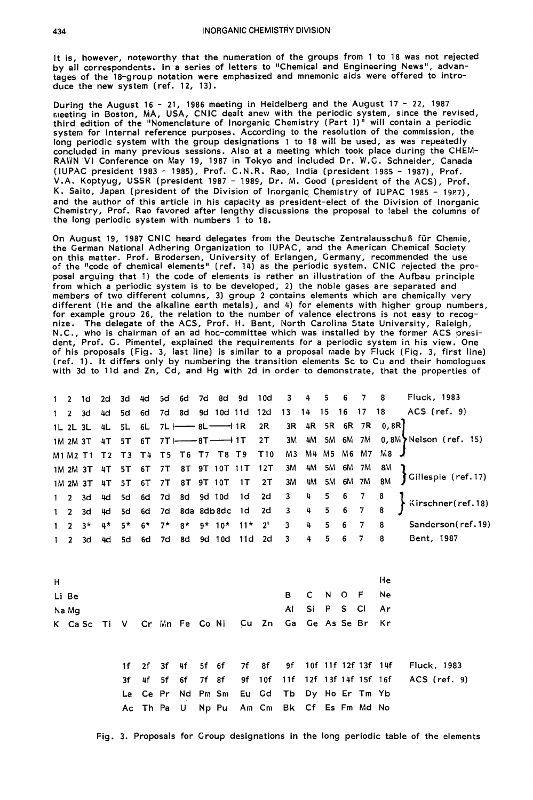It is, however, noteworthy that the numeration of the groups from 1 to 18 was not rejected by all correspondents. In a series of letters to "Chemical and Engineering News", advantages of the 18-group notation were emphasized and mnemonic aids were offered to introduce the new system (ref. 12, 13).

During the August 16 - 21, 1986 meeting in Heidelberg and the August 17 - 22, 1987 fiieeting in Boston, MA, USA, CNlC dealt anew with the periodic system, since the revised, third edition of the "Nomenclature of Inorganic Chemistry (Part **I)"** will contain a periodic system for internal reference purposes. According to the resolution of the commission, the long periodic system with the group designations 1 to 18 will be used, as was repeatedly concluded in many previous sessions. Also at a meeting which took place during the CHEW RAWN VI Conference on May 19, 1987 in Tokyo and included Dr. W.G. Schneider, Canada (IUPAC president 1983 - 19851, Prof. C.N.R. Rao, India (president 1985 - 1987), Prof. V.A. Koptyug, USSR (president 1987 - 1989, Dr. **M.** Good (president of the ACS), Prof. K. Saito, Japan (president of the Division of Inorganic Chemistry of IUPAC 1985 - 1987), and the author of this article in his capacity as president-elect of the Division of Inorganic Chemistry, Prof. Rao favored after lengthy discussions the proposal to label the columns of the long periodic system with numbers 1 to 18.

On August 19, 1987 CNIC heard delegates from the Deutsche Zentralausschuß für Chemie, the German National Adhering Organization to IUPAC, and the American Chemical Society on this matter. Prof. Brodersen, University of Erlangen, Germany, recommended the use of the "code of chemical elements" (ref. 14) as the periodic system. CNlC rejected the proposal arguing that 1) the code of elements is rather an illustration of the Aufbau principle from which a periodic system is to be developed, 2) the noble gases are separated and members of two different columns, 3) group 2 contains elements which are chemically very different (He and the alkaline earth metals), and 4) for elements with higher group numbers, for example group 26, the relation to the number of valence electrons is not easy to recognize. The delegate of the ACS, Prof. **ti.** Bent, North Carolina State University, Raleigh, N.C., who is chairman of an ad hoc-committee which was installed by the former ACS president, Prof. G. Pimentel, explained the requirements for a periodic system in his view. One of his proposals (Fig. 3, last line) is similar to a proposal made by Fluck (Fig. 3, first line) (ref. 1). It differs only by numbering the transition elements Sc to Cu and their honiologues with 3d to lld and Zn, Cd, and Hg with 2d in order to demonstrate, that the properties of

| $1 \quad 2 \quad 1d$ |        | 2d 3d |  |  |  |                                        | 4d 5d 6d 7d 8d 9d 10d 3 4 5 6                    |                   |                |      |    | $\overline{7}$ | -8                                                        | Fluck, 1983                                                           |
|----------------------|--------|-------|--|--|--|----------------------------------------|--------------------------------------------------|-------------------|----------------|------|----|----------------|-----------------------------------------------------------|-----------------------------------------------------------------------|
| $1 \quad 2$          | 3d     |       |  |  |  |                                        |                                                  |                   |                |      |    |                |                                                           | 4d 5d 6d 7d 8d 9d 10d 11d 12d 13 14 15 16 17 18 ACS (ref. 9)          |
|                      |        |       |  |  |  |                                        |                                                  |                   |                |      |    |                | 1L 2L 3L 4L 5L 6L 7L  --- 8L -- 1R 2R 3R 4R 5R 6R 7R 0,8R |                                                                       |
|                      |        |       |  |  |  |                                        |                                                  |                   |                |      |    |                |                                                           | 1M 2M 3T 4T 5T 6T 7T1--8T-+1T 2T 3M 4M 5M 6M 7M 0,8M Nelson (ref. 15) |
|                      |        |       |  |  |  | M1 M2 T1 T2 T3 T4 T5 T6 T7 T8 T9 T10   |                                                  |                   |                |      |    |                | M3 M4 M5 M6 M7 M8 J                                       |                                                                       |
|                      |        |       |  |  |  | 1M 2M 3T 4T 5T 6T 7T 8T 9T 10T 11T 12T |                                                  |                   | 3M 4M 5M 6M 7M |      |    |                | 8M                                                        |                                                                       |
|                      |        |       |  |  |  | 1M 2M 3T 4T 5T 6T 7T 8T 9T 10T 1T 2T   |                                                  | 3M 4M 5M 6M 7M 8M |                |      |    |                |                                                           | Gillespie (ref.17)                                                    |
|                      |        |       |  |  |  |                                        | 1 2 3d 4d 5d 6d 7d 8d 9d 10d 1d 2d 3 4 5 6 7     |                   |                |      |    |                | - 8                                                       | Kirschner(ref.18)                                                     |
|                      |        |       |  |  |  |                                        | 1 2 3d 4d 5d 6d 7d 8da 8db 8dc 1d 2d 3 4 5 6 7 8 |                   |                |      |    |                |                                                           |                                                                       |
|                      |        |       |  |  |  | $1$ 2 3* 4* 5* 6* 7* 8* 9* 10* 11* 2   |                                                  | 3 4 5 6 7 8       |                |      |    |                |                                                           | Sanderson(ref.19)                                                     |
|                      | 1 2 3d |       |  |  |  |                                        | 4d 5d 6d 7d 8d 9d 10d 11d 2d 3                   |                   | 4              | $-5$ | 67 |                | - 8                                                       | Bent, 1987                                                            |

| н |                                                   |  |  |  |  |           |  |                | He  |
|---|---------------------------------------------------|--|--|--|--|-----------|--|----------------|-----|
|   | Li Be                                             |  |  |  |  | B C N O F |  |                | -Ne |
|   | Na Mg                                             |  |  |  |  |           |  | At SiP S CI Ar |     |
|   | K CaSc TiV Cr Mn Fe Co Ni Cu Zn Ga Ge As Se Br Kr |  |  |  |  |           |  |                |     |

If 2f 3f 4f 5f 6f 7f 8f 9f 10f llf 12f 13f 14f Fluck, 1983 3f 4f 5f 6f 7f 8f 9f 10f llf 12f 13f 14f 15f 16f ACS (ref. 9) La Ce Pr Nd Pm Sni Eu Gd Tb Dy Ho Er Tm Yb Ac Th Pa U Np Pu Am Cm Bk Cf Es Fm Md No

Fig. 3. Proposals for Group designations in the long periodic table of the elements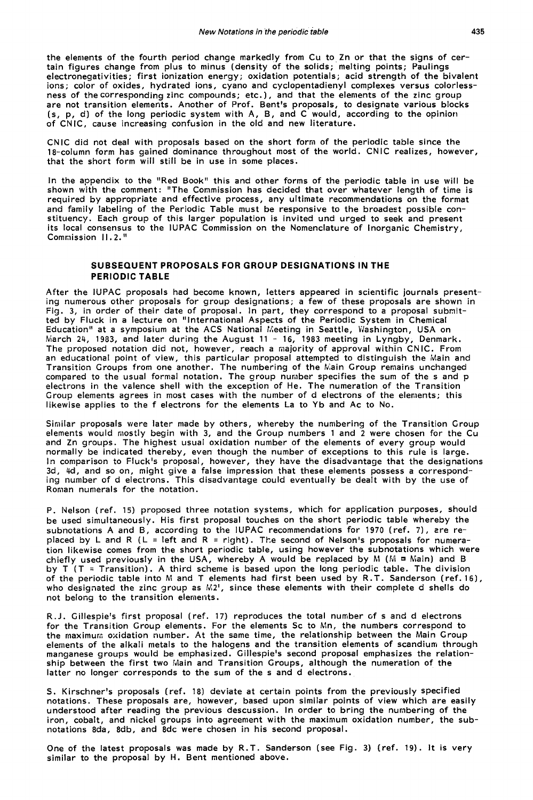the elements of the fourth period change markedly from Cu to Zn or that the signs of certain figures change from plus to minus (density of the solids; melting points; Paulings electronegativities; first ionization energy; oxidation potentials; acid strength of the bivalent ions; color of oxides, hydrated ions, cyano and cyclopentadienyl complexes versus colorlessness of the corresponding zinc compounds; etc.), and that the elements of the zinc group are not transition elements. Another of Prof. Bent's proposals, to designate various blocks (s, p, d) of the long periodic system with A, B, and C would, according to the opinion of CNIC, cause increasing confusion in the old and new literature.

CNlC did not deal with proposals based on the short form of the periodic table since the 18-column form has gained dominance throughout most of the world. CNlC realizes, however, that the short form will still be in use in some places.

In the appendix to the "Red Book" this and other forms of the periodic table in use will be shown with the comment: "The Commission has decided that over whatever length of time is required by appropriate and effective process, any ultimate recommendations on the format and family labeling of the Periodic Table must be responsive to the broadest possible constituency. Each group of this larger population is invited und urged to seek and present its local consensus to the IUPAC Commission on the Nomenclature of Inorganic Chemistry, Commission  $II.2.$ <sup>"</sup>

## **SUBSEQUENT PROPOSALS FOR GROUP DESIGNATIONS IN THE PERIODIC TABLE**

After the IUPAC proposals had become known, letters appeared in scientific journals presenting numerous other proposals for group designations; a few of these proposals are shown in Fig. 3, in order of their date of proposal. In part, they correspond to a proposal subnitted by Fluck in a lecture on "International Aspects of the Periodic System in Chemical Education'' at a symposium at the ACS National Meeting in Seattle, Washington, USA on karch 24, 1983, and later during the August 11 - 16, 1983 meeting in Lyngby, Denmark. The proposed notation did not, however, reach a majority of approval within CNIC. From an educational point of view, this particular proposal attempted to distinguish the Main and Transition Groups from one another. The numbering of the Main Group remains unchanged compared to the usual formal notation. The group number specifies the sum of the s and p electrons in the valence shell with the exception of He. The numeration of the Transition Group elements agrees in most cases with the number of d electrons of the elements; this likewise applies to the f electrons for the elements La to Yb and Ac to No.

Similar proposals were later made by others, whereby the numbering of the Transition Group elements would mostly begin with 3, and the Group numbers 1 and 2 were chosen for the Cu and Zn groups. The highest usual oxidation number of the elements of every group would normally be indicated thereby, even though the number of exceptions to this rule is large. In comparison to Fluck's proposal, however, they have the disadvantage that the designations 3d, 4d, and so on, might give a false impression that these elements possess a corresponding number of d electrons. This disadvantage could eventually be dealt with by the use of Roman numerals for the notation.

P. Nelson (ref. 15) proposed three notation systems, which for application purposes, should be used simultaneously. His first proposal touches on the short periodic table whereby the subnotations A and B, according to the IUPAC recommendations for 1970 (ref. **7),** 2re replaced by L and R (L = left and R = right). The second of Nelson's proposals for numeration likewise comes from the short periodic table, using however the subnotations which were chiefly used previously in the USA, whereby A would be replaced by M (M = Main) and B by T (T = Transition). A third scheme is based upon the long periodic table. The division of the periodic table into M and T elements had first been used by R.T. Sanderson (ref. 16), who designated the zinc group as M2', since these elements with their complete d shells do not belong to the transition elements.

R.J. Gillespie's first proposal (ref. 17) reproduces the total number of s **and** d electrons for the Transition Group elements. For the elements Sc to Mn, the numbers correspond to the maximur:. oxidation number. At the same time, the relationship between the Main Group elements of the alkali metals to the halogens and the transition elements of scandium through manganese groups would be emphasized. Gillespie's second proposal emphasizes the relationship between the first two Main and Transition Groups, although the numeration of the latter no longer corresponds to the sum of the s and d electrons.

S. Kirschner's proposals (ref. 18) deviate at certain points from the previously specified notations. These proposals are, however, based upon similar points of view which are easily understood after reading the previous descussion. In order to bring the numbering of the iron, cobalt, and nickel groups into agreement with the maximum oxidation number, the subnotations 8da, 8db, and 8dc were chosen in his second proposal.

One of the latest proposals was made by R.T. Sanderson (see Fig. 3) (ref. 19). It is very similar to the proposal by **H.** Bent mentioned above.